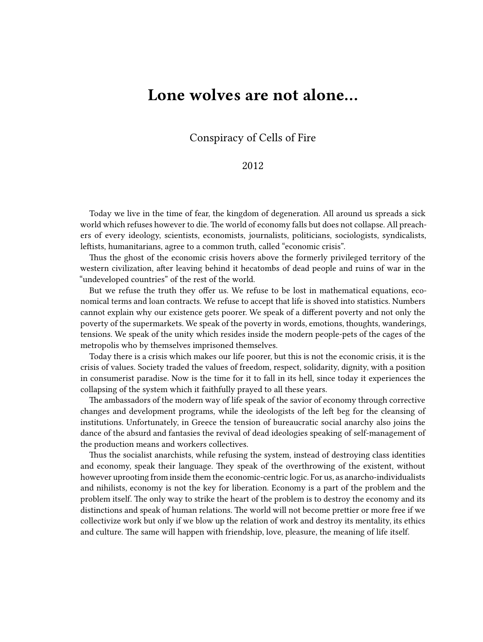## **Lone wolves are not alone…**

Conspiracy of Cells of Fire

## 2012

Today we live in the time of fear, the kingdom of degeneration. All around us spreads a sick world which refuses however to die. The world of economy falls but does not collapse. All preachers of every ideology, scientists, economists, journalists, politicians, sociologists, syndicalists, leftists, humanitarians, agree to a common truth, called "economic crisis".

Thus the ghost of the economic crisis hovers above the formerly privileged territory of the western civilization, after leaving behind it hecatombs of dead people and ruins of war in the "undeveloped countries" of the rest of the world.

But we refuse the truth they offer us. We refuse to be lost in mathematical equations, economical terms and loan contracts. We refuse to accept that life is shoved into statistics. Numbers cannot explain why our existence gets poorer. We speak of a different poverty and not only the poverty of the supermarkets. We speak of the poverty in words, emotions, thoughts, wanderings, tensions. We speak of the unity which resides inside the modern people-pets of the cages of the metropolis who by themselves imprisoned themselves.

Today there is a crisis which makes our life poorer, but this is not the economic crisis, it is the crisis of values. Society traded the values of freedom, respect, solidarity, dignity, with a position in consumerist paradise. Now is the time for it to fall in its hell, since today it experiences the collapsing of the system which it faithfully prayed to all these years.

The ambassadors of the modern way of life speak of the savior of economy through corrective changes and development programs, while the ideologists of the left beg for the cleansing of institutions. Unfortunately, in Greece the tension of bureaucratic social anarchy also joins the dance of the absurd and fantasies the revival of dead ideologies speaking of self-management of the production means and workers collectives.

Thus the socialist anarchists, while refusing the system, instead of destroying class identities and economy, speak their language. They speak of the overthrowing of the existent, without however uprooting from inside them the economic-centric logic. For us, as anarcho-individualists and nihilists, economy is not the key for liberation. Economy is a part of the problem and the problem itself. The only way to strike the heart of the problem is to destroy the economy and its distinctions and speak of human relations. The world will not become prettier or more free if we collectivize work but only if we blow up the relation of work and destroy its mentality, its ethics and culture. The same will happen with friendship, love, pleasure, the meaning of life itself.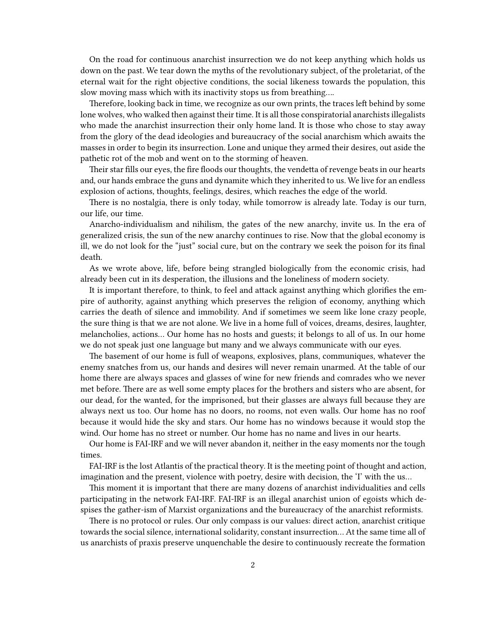On the road for continuous anarchist insurrection we do not keep anything which holds us down on the past. We tear down the myths of the revolutionary subject, of the proletariat, of the eternal wait for the right objective conditions, the social likeness towards the population, this slow moving mass which with its inactivity stops us from breathing….

Therefore, looking back in time, we recognize as our own prints, the traces left behind by some lone wolves, who walked then against their time. It is all those conspiratorial anarchists illegalists who made the anarchist insurrection their only home land. It is those who chose to stay away from the glory of the dead ideologies and bureaucracy of the social anarchism which awaits the masses in order to begin its insurrection. Lone and unique they armed their desires, out aside the pathetic rot of the mob and went on to the storming of heaven.

Their star fills our eyes, the fire floods our thoughts, the vendetta of revenge beats in our hearts and, our hands embrace the guns and dynamite which they inherited to us. We live for an endless explosion of actions, thoughts, feelings, desires, which reaches the edge of the world.

There is no nostalgia, there is only today, while tomorrow is already late. Today is our turn, our life, our time.

Anarcho-individualism and nihilism, the gates of the new anarchy, invite us. In the era of generalized crisis, the sun of the new anarchy continues to rise. Now that the global economy is ill, we do not look for the "just" social cure, but on the contrary we seek the poison for its final death.

As we wrote above, life, before being strangled biologically from the economic crisis, had already been cut in its desperation, the illusions and the loneliness of modern society.

It is important therefore, to think, to feel and attack against anything which glorifies the empire of authority, against anything which preserves the religion of economy, anything which carries the death of silence and immobility. And if sometimes we seem like lone crazy people, the sure thing is that we are not alone. We live in a home full of voices, dreams, desires, laughter, melancholies, actions… Our home has no hosts and guests; it belongs to all of us. In our home we do not speak just one language but many and we always communicate with our eyes.

The basement of our home is full of weapons, explosives, plans, communiques, whatever the enemy snatches from us, our hands and desires will never remain unarmed. At the table of our home there are always spaces and glasses of wine for new friends and comrades who we never met before. There are as well some empty places for the brothers and sisters who are absent, for our dead, for the wanted, for the imprisoned, but their glasses are always full because they are always next us too. Our home has no doors, no rooms, not even walls. Our home has no roof because it would hide the sky and stars. Our home has no windows because it would stop the wind. Our home has no street or number. Our home has no name and lives in our hearts.

Our home is FAI-IRF and we will never abandon it, neither in the easy moments nor the tough times.

FAI-IRF is the lost Atlantis of the practical theory. It is the meeting point of thought and action, imagination and the present, violence with poetry, desire with decision, the 'I' with the us…

This moment it is important that there are many dozens of anarchist individualities and cells participating in the network FAI-IRF. FAI-IRF is an illegal anarchist union of egoists which despises the gather-ism of Marxist organizations and the bureaucracy of the anarchist reformists.

There is no protocol or rules. Our only compass is our values: direct action, anarchist critique towards the social silence, international solidarity, constant insurrection… At the same time all of us anarchists of praxis preserve unquenchable the desire to continuously recreate the formation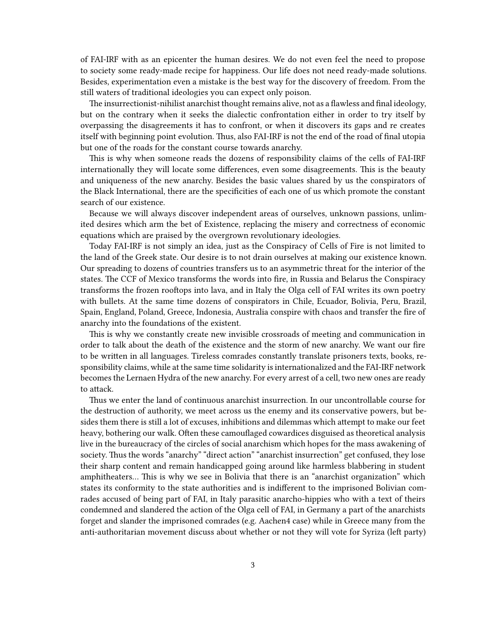of FAI-IRF with as an epicenter the human desires. We do not even feel the need to propose to society some ready-made recipe for happiness. Our life does not need ready-made solutions. Besides, experimentation even a mistake is the best way for the discovery of freedom. From the still waters of traditional ideologies you can expect only poison.

The insurrectionist-nihilist anarchist thought remains alive, not as a flawless and final ideology, but on the contrary when it seeks the dialectic confrontation either in order to try itself by overpassing the disagreements it has to confront, or when it discovers its gaps and re creates itself with beginning point evolution. Thus, also FAI-IRF is not the end of the road of final utopia but one of the roads for the constant course towards anarchy.

This is why when someone reads the dozens of responsibility claims of the cells of FAI-IRF internationally they will locate some differences, even some disagreements. This is the beauty and uniqueness of the new anarchy. Besides the basic values shared by us the conspirators of the Black International, there are the specificities of each one of us which promote the constant search of our existence.

Because we will always discover independent areas of ourselves, unknown passions, unlimited desires which arm the bet of Existence, replacing the misery and correctness of economic equations which are praised by the overgrown revolutionary ideologies.

Today FAI-IRF is not simply an idea, just as the Conspiracy of Cells of Fire is not limited to the land of the Greek state. Our desire is to not drain ourselves at making our existence known. Our spreading to dozens of countries transfers us to an asymmetric threat for the interior of the states. The CCF of Mexico transforms the words into fire, in Russia and Belarus the Conspiracy transforms the frozen rooftops into lava, and in Italy the Olga cell of FAI writes its own poetry with bullets. At the same time dozens of conspirators in Chile, Ecuador, Bolivia, Peru, Brazil, Spain, England, Poland, Greece, Indonesia, Australia conspire with chaos and transfer the fire of anarchy into the foundations of the existent.

This is why we constantly create new invisible crossroads of meeting and communication in order to talk about the death of the existence and the storm of new anarchy. We want our fire to be written in all languages. Tireless comrades constantly translate prisoners texts, books, responsibility claims, while at the same time solidarity is internationalized and the FAI-IRF network becomes the Lernaen Hydra of the new anarchy. For every arrest of a cell, two new ones are ready to attack.

Thus we enter the land of continuous anarchist insurrection. In our uncontrollable course for the destruction of authority, we meet across us the enemy and its conservative powers, but besides them there is still a lot of excuses, inhibitions and dilemmas which attempt to make our feet heavy, bothering our walk. Often these camouflaged cowardices disguised as theoretical analysis live in the bureaucracy of the circles of social anarchism which hopes for the mass awakening of society. Thus the words "anarchy" "direct action" "anarchist insurrection" get confused, they lose their sharp content and remain handicapped going around like harmless blabbering in student amphitheaters… This is why we see in Bolivia that there is an "anarchist organization" which states its conformity to the state authorities and is indifferent to the imprisoned Bolivian comrades accused of being part of FAI, in Italy parasitic anarcho-hippies who with a text of theirs condemned and slandered the action of the Olga cell of FAI, in Germany a part of the anarchists forget and slander the imprisoned comrades (e.g. Aachen4 case) while in Greece many from the anti-authoritarian movement discuss about whether or not they will vote for Syriza (left party)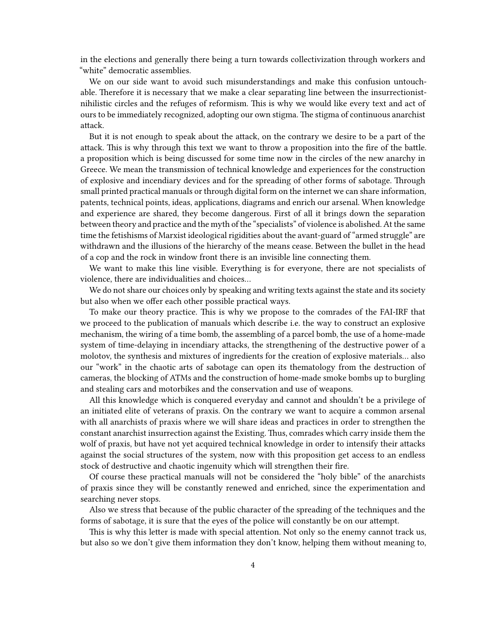in the elections and generally there being a turn towards collectivization through workers and "white" democratic assemblies.

We on our side want to avoid such misunderstandings and make this confusion untouchable. Therefore it is necessary that we make a clear separating line between the insurrectionistnihilistic circles and the refuges of reformism. This is why we would like every text and act of ours to be immediately recognized, adopting our own stigma. The stigma of continuous anarchist attack.

But it is not enough to speak about the attack, on the contrary we desire to be a part of the attack. This is why through this text we want to throw a proposition into the fire of the battle. a proposition which is being discussed for some time now in the circles of the new anarchy in Greece. We mean the transmission of technical knowledge and experiences for the construction of explosive and incendiary devices and for the spreading of other forms of sabotage. Through small printed practical manuals or through digital form on the internet we can share information, patents, technical points, ideas, applications, diagrams and enrich our arsenal. When knowledge and experience are shared, they become dangerous. First of all it brings down the separation between theory and practice and the myth of the "specialists" of violence is abolished. At the same time the fetishisms of Marxist ideological rigidities about the avant-guard of "armed struggle" are withdrawn and the illusions of the hierarchy of the means cease. Between the bullet in the head of a cop and the rock in window front there is an invisible line connecting them.

We want to make this line visible. Everything is for everyone, there are not specialists of violence, there are individualities and choices…

We do not share our choices only by speaking and writing texts against the state and its society but also when we offer each other possible practical ways.

To make our theory practice. This is why we propose to the comrades of the FAI-IRF that we proceed to the publication of manuals which describe i.e. the way to construct an explosive mechanism, the wiring of a time bomb, the assembling of a parcel bomb, the use of a home-made system of time-delaying in incendiary attacks, the strengthening of the destructive power of a molotov, the synthesis and mixtures of ingredients for the creation of explosive materials… also our "work" in the chaotic arts of sabotage can open its thematology from the destruction of cameras, the blocking of ATMs and the construction of home-made smoke bombs up to burgling and stealing cars and motorbikes and the conservation and use of weapons.

All this knowledge which is conquered everyday and cannot and shouldn't be a privilege of an initiated elite of veterans of praxis. On the contrary we want to acquire a common arsenal with all anarchists of praxis where we will share ideas and practices in order to strengthen the constant anarchist insurrection against the Existing. Thus, comrades which carry inside them the wolf of praxis, but have not yet acquired technical knowledge in order to intensify their attacks against the social structures of the system, now with this proposition get access to an endless stock of destructive and chaotic ingenuity which will strengthen their fire.

Of course these practical manuals will not be considered the "holy bible" of the anarchists of praxis since they will be constantly renewed and enriched, since the experimentation and searching never stops.

Also we stress that because of the public character of the spreading of the techniques and the forms of sabotage, it is sure that the eyes of the police will constantly be on our attempt.

This is why this letter is made with special attention. Not only so the enemy cannot track us, but also so we don't give them information they don't know, helping them without meaning to,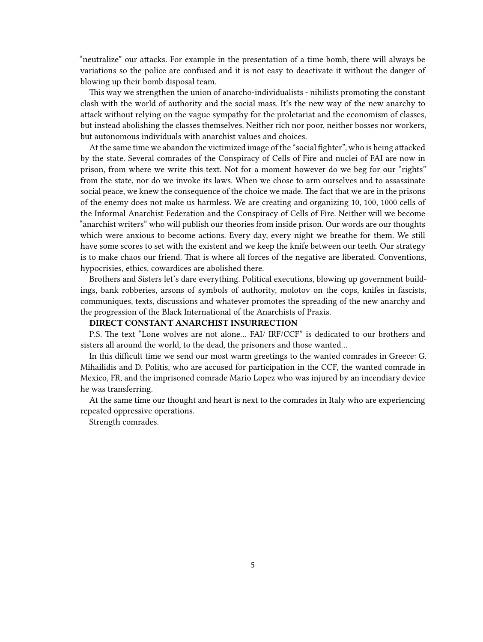"neutralize" our attacks. For example in the presentation of a time bomb, there will always be variations so the police are confused and it is not easy to deactivate it without the danger of blowing up their bomb disposal team.

This way we strengthen the union of anarcho-individualists - nihilists promoting the constant clash with the world of authority and the social mass. It's the new way of the new anarchy to attack without relying on the vague sympathy for the proletariat and the economism of classes, but instead abolishing the classes themselves. Neither rich nor poor, neither bosses nor workers, but autonomous individuals with anarchist values and choices.

At the same time we abandon the victimized image of the "social fighter", who is being attacked by the state. Several comrades of the Conspiracy of Cells of Fire and nuclei of FAI are now in prison, from where we write this text. Not for a moment however do we beg for our "rights" from the state, nor do we invoke its laws. When we chose to arm ourselves and to assassinate social peace, we knew the consequence of the choice we made. The fact that we are in the prisons of the enemy does not make us harmless. We are creating and organizing 10, 100, 1000 cells of the Informal Anarchist Federation and the Conspiracy of Cells of Fire. Neither will we become "anarchist writers" who will publish our theories from inside prison. Our words are our thoughts which were anxious to become actions. Every day, every night we breathe for them. We still have some scores to set with the existent and we keep the knife between our teeth. Our strategy is to make chaos our friend. That is where all forces of the negative are liberated. Conventions, hypocrisies, ethics, cowardices are abolished there.

Brothers and Sisters let's dare everything. Political executions, blowing up government buildings, bank robberies, arsons of symbols of authority, molotov on the cops, knifes in fascists, communiques, texts, discussions and whatever promotes the spreading of the new anarchy and the progression of the Black International of the Anarchists of Praxis.

## **DIRECT CONSTANT ANARCHIST INSURRECTION**

P.S. The text "Lone wolves are not alone… FAI/ IRF/CCF" is dedicated to our brothers and sisters all around the world, to the dead, the prisoners and those wanted…

In this difficult time we send our most warm greetings to the wanted comrades in Greece: G. Mihailidis and D. Politis, who are accused for participation in the CCF, the wanted comrade in Mexico, FR, and the imprisoned comrade Mario Lopez who was injured by an incendiary device he was transferring.

At the same time our thought and heart is next to the comrades in Italy who are experiencing repeated oppressive operations.

Strength comrades.